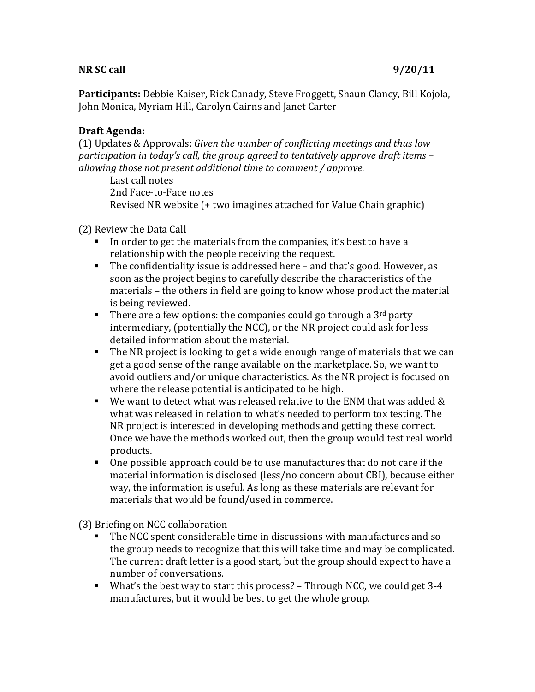## **NR SC call 9/20/11**

**Participants:** Debbie Kaiser, Rick Canady, Steve Froggett, Shaun Clancy, Bill Kojola, John Monica, Myriam Hill, Carolyn Cairns and Janet Carter

## **Draft Agenda:**

(1) Updates & Approvals: *Given the number of conflicting meetings and thus low participation in today's call, the group agreed to tentatively approve draft items – allowing those not present additional time to comment / approve.* 

Last call notes 2nd Face-to-Face notes Revised NR website (+ two imagines attached for Value Chain graphic)

## (2) Review the Data Call

- In order to get the materials from the companies, it's best to have a relationship with the people receiving the request.
- The confidentiality issue is addressed here and that's good. However, as soon as the project begins to carefully describe the characteristics of the materials – the others in field are going to know whose product the material is being reviewed.
- There are a few options: the companies could go through a  $3^{\text{rd}}$  party intermediary, (potentially the NCC), or the NR project could ask for less detailed information about the material.
- The NR project is looking to get a wide enough range of materials that we can get a good sense of the range available on the marketplace. So, we want to avoid outliers and/or unique characteristics. As the NR project is focused on where the release potential is anticipated to be high.
- We want to detect what was released relative to the ENM that was added  $&$ what was released in relation to what's needed to perform tox testing. The NR project is interested in developing methods and getting these correct. Once we have the methods worked out, then the group would test real world products.
- One possible approach could be to use manufactures that do not care if the material information is disclosed (less/no concern about CBI), because either way, the information is useful. As long as these materials are relevant for materials that would be found/used in commerce.

(3) Briefing on NCC collaboration

- $\blacksquare$  The NCC spent considerable time in discussions with manufactures and so  $\blacksquare$ the group needs to recognize that this will take time and may be complicated. The current draft letter is a good start, but the group should expect to have a number of conversations.
- What's the best way to start this process? Through NCC, we could get  $3-4$ manufactures, but it would be best to get the whole group.